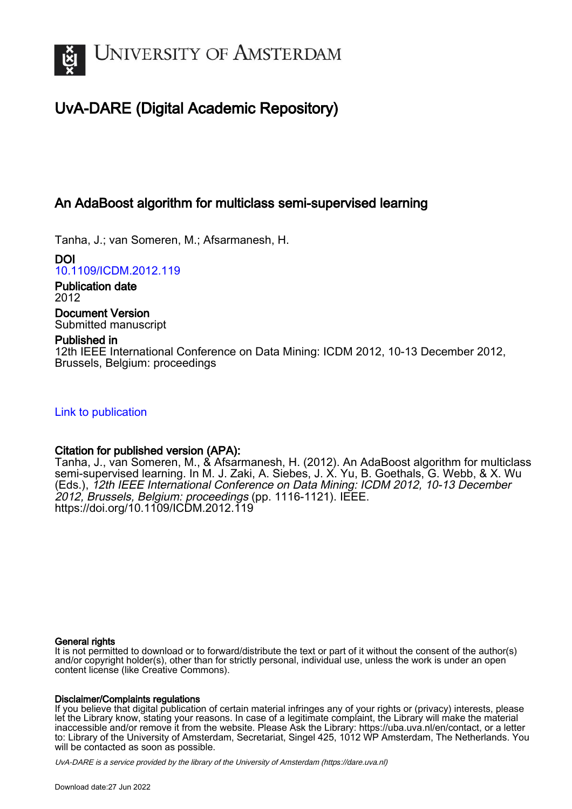

# UvA-DARE (Digital Academic Repository)

# An AdaBoost algorithm for multiclass semi-supervised learning

Tanha, J.; van Someren, M.; Afsarmanesh, H.

DOI [10.1109/ICDM.2012.119](https://doi.org/10.1109/ICDM.2012.119)

Publication date 2012

Document Version Submitted manuscript

# Published in

12th IEEE International Conference on Data Mining: ICDM 2012, 10-13 December 2012, Brussels, Belgium: proceedings

[Link to publication](https://dare.uva.nl/personal/pure/en/publications/an-adaboost-algorithm-for-multiclass-semisupervised-learning(86df7a8d-75ed-4dfa-9d75-c5b025e504c2).html)

# Citation for published version (APA):

Tanha, J., van Someren, M., & Afsarmanesh, H. (2012). An AdaBoost algorithm for multiclass semi-supervised learning. In M. J. Zaki, A. Siebes, J. X. Yu, B. Goethals, G. Webb, & X. Wu (Eds.), 12th IEEE International Conference on Data Mining: ICDM 2012, 10-13 December 2012, Brussels, Belgium: proceedings (pp. 1116-1121). IEEE. <https://doi.org/10.1109/ICDM.2012.119>

## General rights

It is not permitted to download or to forward/distribute the text or part of it without the consent of the author(s) and/or copyright holder(s), other than for strictly personal, individual use, unless the work is under an open content license (like Creative Commons).

## Disclaimer/Complaints regulations

If you believe that digital publication of certain material infringes any of your rights or (privacy) interests, please let the Library know, stating your reasons. In case of a legitimate complaint, the Library will make the material inaccessible and/or remove it from the website. Please Ask the Library: https://uba.uva.nl/en/contact, or a letter to: Library of the University of Amsterdam, Secretariat, Singel 425, 1012 WP Amsterdam, The Netherlands. You will be contacted as soon as possible.

UvA-DARE is a service provided by the library of the University of Amsterdam (http*s*://dare.uva.nl)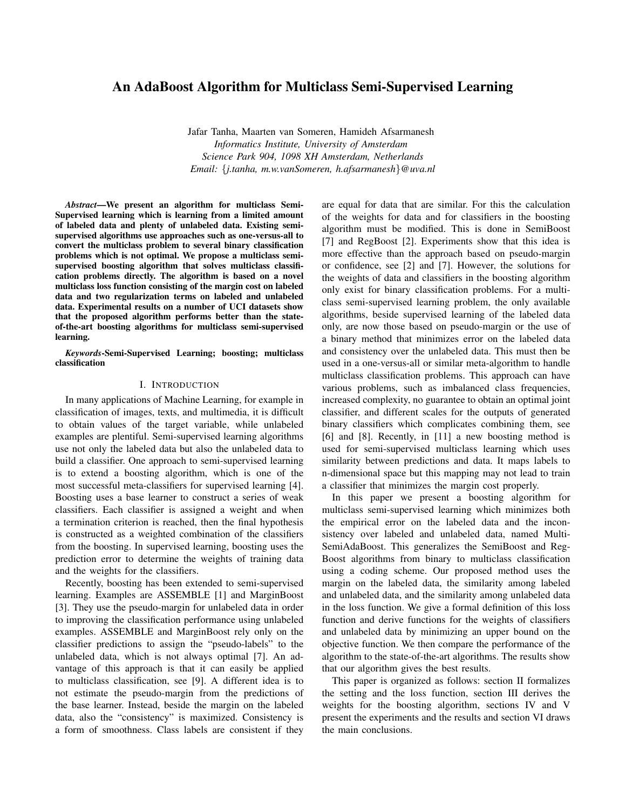## An AdaBoost Algorithm for Multiclass Semi-Supervised Learning

Jafar Tanha, Maarten van Someren, Hamideh Afsarmanesh *Informatics Institute, University of Amsterdam Science Park 904, 1098 XH Amsterdam, Netherlands Email:* {*j.tanha, m.w.vanSomeren, h.afsarmanesh*}*@uva.nl*

*Abstract*—We present an algorithm for multiclass Semi-Supervised learning which is learning from a limited amount of labeled data and plenty of unlabeled data. Existing semisupervised algorithms use approaches such as one-versus-all to convert the multiclass problem to several binary classification problems which is not optimal. We propose a multiclass semisupervised boosting algorithm that solves multiclass classification problems directly. The algorithm is based on a novel multiclass loss function consisting of the margin cost on labeled data and two regularization terms on labeled and unlabeled data. Experimental results on a number of UCI datasets show that the proposed algorithm performs better than the stateof-the-art boosting algorithms for multiclass semi-supervised learning.

*Keywords*-Semi-Supervised Learning; boosting; multiclass classification

#### I. INTRODUCTION

In many applications of Machine Learning, for example in classification of images, texts, and multimedia, it is difficult to obtain values of the target variable, while unlabeled examples are plentiful. Semi-supervised learning algorithms use not only the labeled data but also the unlabeled data to build a classifier. One approach to semi-supervised learning is to extend a boosting algorithm, which is one of the most successful meta-classifiers for supervised learning [4]. Boosting uses a base learner to construct a series of weak classifiers. Each classifier is assigned a weight and when a termination criterion is reached, then the final hypothesis is constructed as a weighted combination of the classifiers from the boosting. In supervised learning, boosting uses the prediction error to determine the weights of training data and the weights for the classifiers.

Recently, boosting has been extended to semi-supervised learning. Examples are ASSEMBLE [1] and MarginBoost [3]. They use the pseudo-margin for unlabeled data in order to improving the classification performance using unlabeled examples. ASSEMBLE and MarginBoost rely only on the classifier predictions to assign the "pseudo-labels" to the unlabeled data, which is not always optimal [7]. An advantage of this approach is that it can easily be applied to multiclass classification, see [9]. A different idea is to not estimate the pseudo-margin from the predictions of the base learner. Instead, beside the margin on the labeled data, also the "consistency" is maximized. Consistency is a form of smoothness. Class labels are consistent if they are equal for data that are similar. For this the calculation of the weights for data and for classifiers in the boosting algorithm must be modified. This is done in SemiBoost [7] and RegBoost [2]. Experiments show that this idea is more effective than the approach based on pseudo-margin or confidence, see [2] and [7]. However, the solutions for the weights of data and classifiers in the boosting algorithm only exist for binary classification problems. For a multiclass semi-supervised learning problem, the only available algorithms, beside supervised learning of the labeled data only, are now those based on pseudo-margin or the use of a binary method that minimizes error on the labeled data and consistency over the unlabeled data. This must then be used in a one-versus-all or similar meta-algorithm to handle multiclass classification problems. This approach can have various problems, such as imbalanced class frequencies, increased complexity, no guarantee to obtain an optimal joint classifier, and different scales for the outputs of generated binary classifiers which complicates combining them, see [6] and [8]. Recently, in [11] a new boosting method is used for semi-supervised multiclass learning which uses similarity between predictions and data. It maps labels to n-dimensional space but this mapping may not lead to train a classifier that minimizes the margin cost properly.

In this paper we present a boosting algorithm for multiclass semi-supervised learning which minimizes both the empirical error on the labeled data and the inconsistency over labeled and unlabeled data, named Multi-SemiAdaBoost. This generalizes the SemiBoost and Reg-Boost algorithms from binary to multiclass classification using a coding scheme. Our proposed method uses the margin on the labeled data, the similarity among labeled and unlabeled data, and the similarity among unlabeled data in the loss function. We give a formal definition of this loss function and derive functions for the weights of classifiers and unlabeled data by minimizing an upper bound on the objective function. We then compare the performance of the algorithm to the state-of-the-art algorithms. The results show that our algorithm gives the best results.

This paper is organized as follows: section II formalizes the setting and the loss function, section III derives the weights for the boosting algorithm, sections IV and V present the experiments and the results and section VI draws the main conclusions.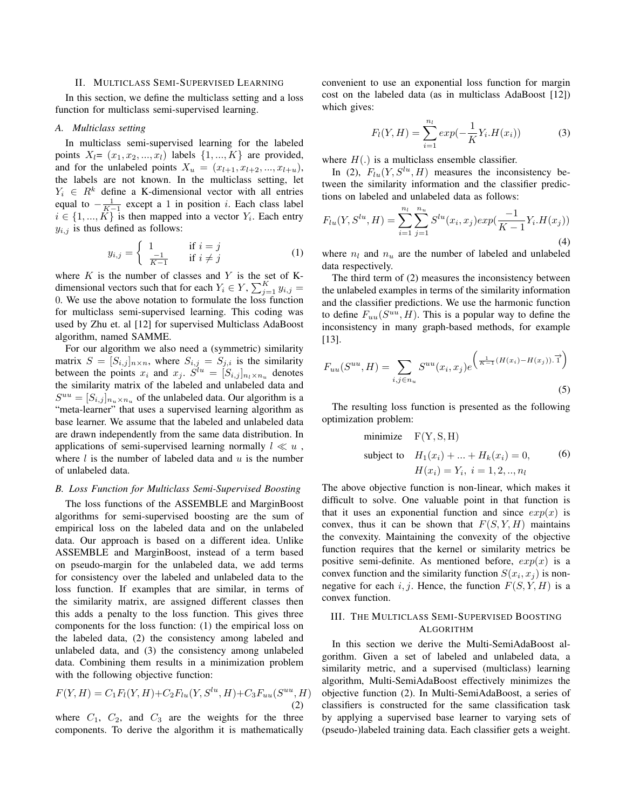#### II. MULTICLASS SEMI-SUPERVISED LEARNING

In this section, we define the multiclass setting and a loss function for multiclass semi-supervised learning.

#### *A. Multiclass setting*

In multiclass semi-supervised learning for the labeled points  $X_l = (x_1, x_2, ..., x_l)$  labels  $\{1, ..., K\}$  are provided, and for the unlabeled points  $X_u = (x_{l+1}, x_{l+2}, ..., x_{l+u}),$ the labels are not known. In the multiclass setting, let  $Y_i \in R^k$  define a K-dimensional vector with all entries equal to  $-\frac{1}{K-1}$  except a 1 in position *i*. Each class label  $i \in \{1, ..., K\}$  is then mapped into a vector  $Y_i$ . Each entry  $y_{i,j}$  is thus defined as follows:

$$
y_{i,j} = \begin{cases} 1 & \text{if } i = j \\ \frac{-1}{K-1} & \text{if } i \neq j \end{cases}
$$
 (1)

where  $K$  is the number of classes and  $Y$  is the set of Kdimensional vectors such that for each  $Y_i \in Y$ ,  $\sum_{j=1}^{K} y_{i,j} =$ 0. We use the above notation to formulate the loss function for multiclass semi-supervised learning. This coding was used by Zhu et. al [12] for supervised Multiclass AdaBoost algorithm, named SAMME.

For our algorithm we also need a (symmetric) similarity matrix  $S = [S_{i,j}]_{n \times n}$ , where  $S_{i,j} = S_{j,i}$  is the similarity between the points  $x_i$  and  $x_j$ .  $\dot{S}^{lu} = [S_{i,j}]_{n_l \times n_u}$  denotes the similarity matrix of the labeled and unlabeled data and  $S^{uu} = [S_{i,j}]_{n_u \times n_u}$  of the unlabeled data. Our algorithm is a "meta-learner" that uses a supervised learning algorithm as base learner. We assume that the labeled and unlabeled data are drawn independently from the same data distribution. In applications of semi-supervised learning normally  $l \ll u$ , where  $l$  is the number of labeled data and  $u$  is the number of unlabeled data.

#### *B. Loss Function for Multiclass Semi-Supervised Boosting*

The loss functions of the ASSEMBLE and MarginBoost algorithms for semi-supervised boosting are the sum of empirical loss on the labeled data and on the unlabeled data. Our approach is based on a different idea. Unlike ASSEMBLE and MarginBoost, instead of a term based on pseudo-margin for the unlabeled data, we add terms for consistency over the labeled and unlabeled data to the loss function. If examples that are similar, in terms of the similarity matrix, are assigned different classes then this adds a penalty to the loss function. This gives three components for the loss function: (1) the empirical loss on the labeled data, (2) the consistency among labeled and unlabeled data, and (3) the consistency among unlabeled data. Combining them results in a minimization problem with the following objective function:

$$
F(Y, H) = C_1 F_l(Y, H) + C_2 F_{lu}(Y, S^{lu}, H) + C_3 F_{uu}(S^{uu}, H)
$$
\n(2)

where  $C_1$ ,  $C_2$ , and  $C_3$  are the weights for the three components. To derive the algorithm it is mathematically convenient to use an exponential loss function for margin cost on the labeled data (as in multiclass AdaBoost [12]) which gives:

$$
F_l(Y, H) = \sum_{i=1}^{n_l} exp(-\frac{1}{K}Y_i . H(x_i))
$$
 (3)

where  $H(.)$  is a multiclass ensemble classifier.

In (2),  $F_{lu}(Y, S^{lu}, H)$  measures the inconsistency between the similarity information and the classifier predictions on labeled and unlabeled data as follows:

$$
F_{lu}(Y, S^{lu}, H) = \sum_{i=1}^{n_l} \sum_{j=1}^{n_u} S^{lu}(x_i, x_j) exp(\frac{-1}{K-1}Y_i. H(x_j))
$$
\n(4)

where  $n_l$  and  $n_u$  are the number of labeled and unlabeled data respectively.

The third term of (2) measures the inconsistency between the unlabeled examples in terms of the similarity information and the classifier predictions. We use the harmonic function to define  $F_{uu}(S^{uu}, H)$ . This is a popular way to define the inconsistency in many graph-based methods, for example [13].

$$
F_{uu}(S^{uu}, H) = \sum_{i,j \in n_u} S^{uu}(x_i, x_j) e^{\left(\frac{1}{K-1}(H(x_i) - H(x_j)).\vec{1}\right)}
$$
\n(5)

The resulting loss function is presented as the following optimization problem:

minimize F(Y, S, H)  
\nsubject to 
$$
H_1(x_i) + ... + H_k(x_i) = 0
$$
, (6)  
\n $H(x_i) = Y_i, i = 1, 2, ..., n_l$ 

The above objective function is non-linear, which makes it difficult to solve. One valuable point in that function is that it uses an exponential function and since  $exp(x)$  is convex, thus it can be shown that  $F(S, Y, H)$  maintains the convexity. Maintaining the convexity of the objective function requires that the kernel or similarity metrics be positive semi-definite. As mentioned before,  $exp(x)$  is a convex function and the similarity function  $S(x_i, x_j)$  is nonnegative for each i, j. Hence, the function  $F(S, Y, H)$  is a convex function.

### III. THE MULTICLASS SEMI-SUPERVISED BOOSTING ALGORITHM

In this section we derive the Multi-SemiAdaBoost algorithm. Given a set of labeled and unlabeled data, a similarity metric, and a supervised (multiclass) learning algorithm, Multi-SemiAdaBoost effectively minimizes the objective function (2). In Multi-SemiAdaBoost, a series of classifiers is constructed for the same classification task by applying a supervised base learner to varying sets of (pseudo-)labeled training data. Each classifier gets a weight.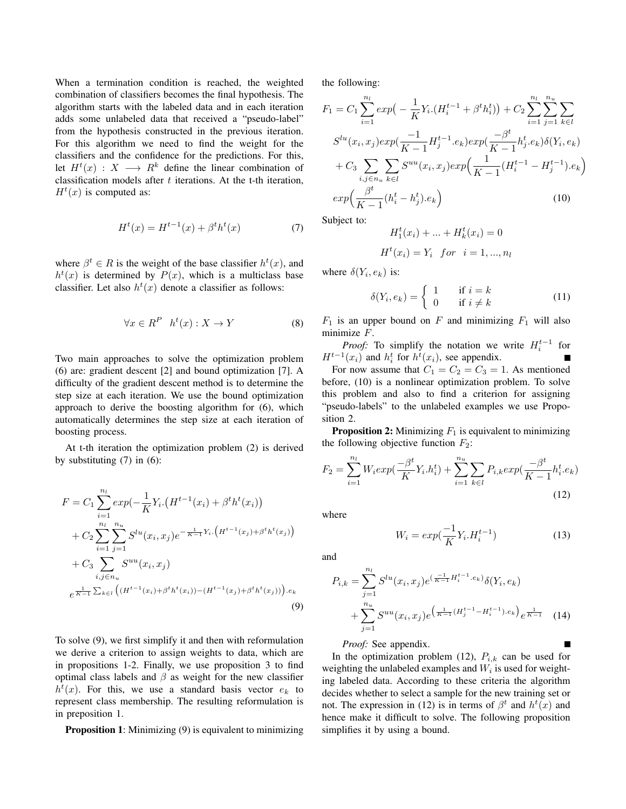When a termination condition is reached, the weighted combination of classifiers becomes the final hypothesis. The algorithm starts with the labeled data and in each iteration adds some unlabeled data that received a "pseudo-label" from the hypothesis constructed in the previous iteration. For this algorithm we need to find the weight for the classifiers and the confidence for the predictions. For this, let  $H^t(x) : X \longrightarrow \mathbb{R}^k$  define the linear combination of classification models after  $t$  iterations. At the t-th iteration,  $H^t(x)$  is computed as:

$$
H^{t}(x) = H^{t-1}(x) + \beta^{t} h^{t}(x)
$$
 (7)

where  $\beta^t \in R$  is the weight of the base classifier  $h^t(x)$ , and  $h<sup>t</sup>(x)$  is determined by  $P(x)$ , which is a multiclass base classifier. Let also  $h^t(x)$  denote a classifier as follows:

$$
\forall x \in R^P \quad h^t(x) : X \to Y \tag{8}
$$

Two main approaches to solve the optimization problem (6) are: gradient descent [2] and bound optimization [7]. A difficulty of the gradient descent method is to determine the step size at each iteration. We use the bound optimization approach to derive the boosting algorithm for (6), which automatically determines the step size at each iteration of boosting process.

At t-th iteration the optimization problem (2) is derived by substituting  $(7)$  in  $(6)$ :

$$
F = C_1 \sum_{i=1}^{n_l} exp(-\frac{1}{K}Y_i \cdot (H^{t-1}(x_i) + \beta^t h^t(x_i))
$$
  
+  $C_2 \sum_{i=1}^{n_l} \sum_{j=1}^{n_u} S^{lu}(x_i, x_j) e^{-\frac{1}{K-1}Y_i \cdot (H^{t-1}(x_j) + \beta^t h^t(x_j))}$   
+  $C_3 \sum_{i,j \in n_u} S^{uu}(x_i, x_j)$   
 $e^{\frac{1}{K-1} \sum_{k \in l} ((H^{t-1}(x_i) + \beta^t h^t(x_i)) - (H^{t-1}(x_j) + \beta^t h^t(x_j))) \cdot e_k}$  (9)

To solve (9), we first simplify it and then with reformulation we derive a criterion to assign weights to data, which are in propositions 1-2. Finally, we use proposition 3 to find optimal class labels and  $\beta$  as weight for the new classifier  $h^t(x)$ . For this, we use a standard basis vector  $e_k$  to represent class membership. The resulting reformulation is in preposition 1.

Proposition 1: Minimizing (9) is equivalent to minimizing

the following:

$$
F_1 = C_1 \sum_{i=1}^{n_l} exp\left(-\frac{1}{K} Y_i \cdot (H_i^{t-1} + \beta^t h_i^t)\right) + C_2 \sum_{i=1}^{n_l} \sum_{j=1}^{n_u} \sum_{k \in l}
$$
  

$$
S^{lu}(x_i, x_j) exp\left(\frac{-1}{K-1} H_j^{t-1} \cdot e_k\right) exp\left(\frac{-\beta^t}{K-1} h_j^t \cdot e_k\right) \delta(Y_i, e_k)
$$
  

$$
+ C_3 \sum_{i,j \in n_u} \sum_{k \in l} S^{uu}(x_i, x_j) exp\left(\frac{1}{K-1} (H_i^{t-1} - H_j^{t-1}) \cdot e_k\right)
$$
  

$$
exp\left(\frac{\beta^t}{K-1} (h_i^t - h_j^t) \cdot e_k\right)
$$
 (10)

Subject to:

$$
H_1^t(x_i) + \dots + H_k^t(x_i) = 0
$$
  

$$
H^t(x_i) = Y_i \quad \text{for} \quad i = 1, \dots, n_l
$$

where  $\delta(Y_i, e_k)$  is:

$$
\delta(Y_i, e_k) = \begin{cases} 1 & \text{if } i = k \\ 0 & \text{if } i \neq k \end{cases}
$$
 (11)

 $F_1$  is an upper bound on F and minimizing  $F_1$  will also minimize F.

*Proof:* To simplify the notation we write  $H_i^{t-1}$  for  $H^{t-1}(x_i)$  and  $h_i^t$  for  $h^t(x_i)$ , see appendix. For now assume that  $C_1 = C_2 = C_3 = 1$ . As mentioned before, (10) is a nonlinear optimization problem. To solve this problem and also to find a criterion for assigning "pseudo-labels" to the unlabeled examples we use Proposition 2.

**Proposition 2:** Minimizing  $F_1$  is equivalent to minimizing the following objective function  $F_2$ :

$$
F_2 = \sum_{i=1}^{n_l} W_i exp(\frac{-\beta^t}{K} Y_i h_i^t) + \sum_{i=1}^{n_u} \sum_{k \in l} P_{i,k} exp(\frac{-\beta^t}{K - 1} h_i^t . e_k)
$$
\n(12)

where

$$
W_i = exp(\frac{-1}{K}Y_i H_i^{t-1})
$$
\n(13)

and

$$
P_{i,k} = \sum_{j=1}^{n_l} S^{lu}(x_i, x_j) e^{(\frac{-1}{K-1} H_i^{t-1} \cdot e_k)} \delta(Y_i, e_k)
$$
  
+ 
$$
\sum_{j=1}^{n_u} S^{uu}(x_i, x_j) e^{(\frac{1}{K-1} (H_j^{t-1} - H_i^{t-1}) \cdot e_k)} e^{\frac{1}{K-1}}
$$
(14)

*Proof:* See appendix.

In the optimization problem (12),  $P_{i,k}$  can be used for weighting the unlabeled examples and  $W_i$  is used for weighting labeled data. According to these criteria the algorithm decides whether to select a sample for the new training set or not. The expression in (12) is in terms of  $\beta^t$  and  $h^t(x)$  and hence make it difficult to solve. The following proposition simplifies it by using a bound.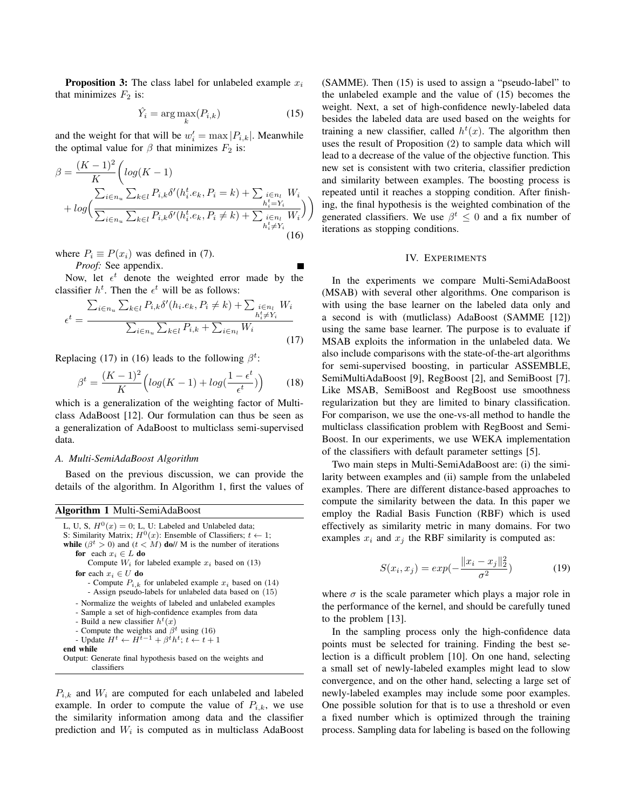**Proposition 3:** The class label for unlabeled example  $x_i$ that minimizes  $F_2$  is:

$$
\hat{Y}_i = \arg \max_k (P_{i,k})
$$
\n(15)

and the weight for that will be  $w'_i = \max |P_{i,k}|$ . Meanwhile the optimal value for  $\beta$  that minimizes  $F_2$  is:

$$
\beta = \frac{(K-1)^2}{K} \left( \log(K-1) + \log \left( \frac{\sum_{i \in n_u} \sum_{k \in l} P_{i,k} \delta'(h_i^t.e_k, P_i = k) + \sum_{i \in n_l} W_i}{\sum_{i \in n_u} \sum_{k \in l} P_{i,k} \delta'(h_i^t.e_k, P_i \neq k) + \sum_{i \in n_l} W_i} \right) \right)
$$
\n
$$
(16)
$$

where  $P_i \equiv P(x_i)$  was defined in (7).

*Proof:* See appendix.

Now, let  $\epsilon^t$  denote the weighted error made by the classifier  $h^t$ . Then the  $\epsilon^t$  will be as follows:

$$
\epsilon^t = \frac{\sum_{i \in n_u} \sum_{k \in l} P_{i,k} \delta'(h_i.e_k, P_i \neq k) + \sum_{\substack{i \in n_l \\ h_i^t \neq Y_i}} W_i}{\sum_{i \in n_u} \sum_{k \in l} P_{i,k} + \sum_{i \in n_l} W_i}
$$
\n(17)

Replacing (17) in (16) leads to the following  $\beta^t$ :

$$
\beta^t = \frac{(K-1)^2}{K} \left( \log(K-1) + \log(\frac{1-\epsilon^t}{\epsilon^t}) \right) \tag{18}
$$

which is a generalization of the weighting factor of Multiclass AdaBoost [12]. Our formulation can thus be seen as a generalization of AdaBoost to multiclass semi-supervised data.

#### *A. Multi-SemiAdaBoost Algorithm*

Based on the previous discussion, we can provide the details of the algorithm. In Algorithm 1, first the values of

#### Algorithm 1 Multi-SemiAdaBoost

```
L, U, S, H^0(x) = 0; L, U: Labeled and Unlabeled data;
S: Similarity Matrix; H^0(x): Ensemble of Classifiers; t \leftarrow 1;
while (\beta^t > 0) and (t < M) do// M is the number of iterations
    for each x_i \in L do
       Compute W_i for labeled example x_i based on (13)
    for each x_i \in U do
       - Compute P_{i,k} for unlabeled example x_i based on (14)
        - Assign pseudo-labels for unlabeled data based on (15)
    - Normalize the weights of labeled and unlabeled examples
    - Sample a set of high-confidence examples from data
    - Build a new classifier h^t(x)- Compute the weights and \hat{\beta}^t using (16)
    - Update H^t \leftarrow H^{\overline{t}-1} + \beta^t h^t; t \leftarrow t + 1end while
Output: Generate final hypothesis based on the weights and
         classifiers
```
 $P_{i,k}$  and  $W_i$  are computed for each unlabeled and labeled example. In order to compute the value of  $P_{i,k}$ , we use the similarity information among data and the classifier prediction and  $W_i$  is computed as in multiclass AdaBoost (SAMME). Then (15) is used to assign a "pseudo-label" to the unlabeled example and the value of (15) becomes the weight. Next, a set of high-confidence newly-labeled data besides the labeled data are used based on the weights for training a new classifier, called  $h^t(x)$ . The algorithm then uses the result of Proposition (2) to sample data which will lead to a decrease of the value of the objective function. This new set is consistent with two criteria, classifier prediction and similarity between examples. The boosting process is repeated until it reaches a stopping condition. After finishing, the final hypothesis is the weighted combination of the generated classifiers. We use  $\beta^t \leq 0$  and a fix number of iterations as stopping conditions.

#### IV. EXPERIMENTS

In the experiments we compare Multi-SemiAdaBoost (MSAB) with several other algorithms. One comparison is with using the base learner on the labeled data only and a second is with (mutliclass) AdaBoost (SAMME [12]) using the same base learner. The purpose is to evaluate if MSAB exploits the information in the unlabeled data. We also include comparisons with the state-of-the-art algorithms for semi-supervised boosting, in particular ASSEMBLE, SemiMultiAdaBoost [9], RegBoost [2], and SemiBoost [7]. Like MSAB, SemiBoost and RegBoost use smoothness regularization but they are limited to binary classification. For comparison, we use the one-vs-all method to handle the multiclass classification problem with RegBoost and Semi-Boost. In our experiments, we use WEKA implementation of the classifiers with default parameter settings [5].

Two main steps in Multi-SemiAdaBoost are: (i) the similarity between examples and (ii) sample from the unlabeled examples. There are different distance-based approaches to compute the similarity between the data. In this paper we employ the Radial Basis Function (RBF) which is used effectively as similarity metric in many domains. For two examples  $x_i$  and  $x_j$  the RBF similarity is computed as:

$$
S(x_i, x_j) = exp(-\frac{\|x_i - x_j\|_2^2}{\sigma^2})
$$
 (19)

where  $\sigma$  is the scale parameter which plays a major role in the performance of the kernel, and should be carefully tuned to the problem [13].

In the sampling process only the high-confidence data points must be selected for training. Finding the best selection is a difficult problem [10]. On one hand, selecting a small set of newly-labeled examples might lead to slow convergence, and on the other hand, selecting a large set of newly-labeled examples may include some poor examples. One possible solution for that is to use a threshold or even a fixed number which is optimized through the training process. Sampling data for labeling is based on the following

$$
f_{\rm{max}}
$$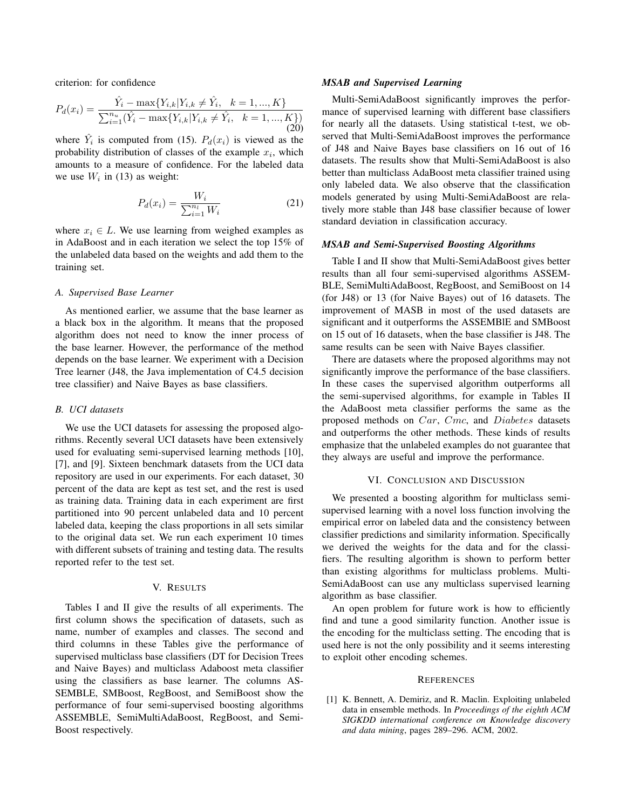criterion: for confidence

$$
P_d(x_i) = \frac{\hat{Y}_i - \max\{Y_{i,k} | Y_{i,k} \neq \hat{Y}_i, \ k = 1, ..., K\}}{\sum_{i=1}^{n_u} (\hat{Y}_i - \max\{Y_{i,k} | Y_{i,k} \neq \hat{Y}_i, \ k = 1, ..., K\})}
$$
(20)

where  $\hat{Y}_i$  is computed from (15).  $P_d(x_i)$  is viewed as the probability distribution of classes of the example  $x_i$ , which amounts to a measure of confidence. For the labeled data we use  $W_i$  in (13) as weight:

$$
P_d(x_i) = \frac{W_i}{\sum_{i=1}^{n_l} W_i}
$$
 (21)

where  $x_i \in L$ . We use learning from weighed examples as in AdaBoost and in each iteration we select the top 15% of the unlabeled data based on the weights and add them to the training set.

#### *A. Supervised Base Learner*

As mentioned earlier, we assume that the base learner as a black box in the algorithm. It means that the proposed algorithm does not need to know the inner process of the base learner. However, the performance of the method depends on the base learner. We experiment with a Decision Tree learner (J48, the Java implementation of C4.5 decision tree classifier) and Naive Bayes as base classifiers.

#### *B. UCI datasets*

We use the UCI datasets for assessing the proposed algorithms. Recently several UCI datasets have been extensively used for evaluating semi-supervised learning methods [10], [7], and [9]. Sixteen benchmark datasets from the UCI data repository are used in our experiments. For each dataset, 30 percent of the data are kept as test set, and the rest is used as training data. Training data in each experiment are first partitioned into 90 percent unlabeled data and 10 percent labeled data, keeping the class proportions in all sets similar to the original data set. We run each experiment 10 times with different subsets of training and testing data. The results reported refer to the test set.

#### V. RESULTS

Tables I and II give the results of all experiments. The first column shows the specification of datasets, such as name, number of examples and classes. The second and third columns in these Tables give the performance of supervised multiclass base classifiers (DT for Decision Trees and Naive Bayes) and multiclass Adaboost meta classifier using the classifiers as base learner. The columns AS-SEMBLE, SMBoost, RegBoost, and SemiBoost show the performance of four semi-supervised boosting algorithms ASSEMBLE, SemiMultiAdaBoost, RegBoost, and Semi-Boost respectively.

#### *MSAB and Supervised Learning*

Multi-SemiAdaBoost significantly improves the performance of supervised learning with different base classifiers for nearly all the datasets. Using statistical t-test, we observed that Multi-SemiAdaBoost improves the performance of J48 and Naive Bayes base classifiers on 16 out of 16 datasets. The results show that Multi-SemiAdaBoost is also better than multiclass AdaBoost meta classifier trained using only labeled data. We also observe that the classification models generated by using Multi-SemiAdaBoost are relatively more stable than J48 base classifier because of lower standard deviation in classification accuracy.

#### *MSAB and Semi-Supervised Boosting Algorithms*

Table I and II show that Multi-SemiAdaBoost gives better results than all four semi-supervised algorithms ASSEM-BLE, SemiMultiAdaBoost, RegBoost, and SemiBoost on 14 (for J48) or 13 (for Naive Bayes) out of 16 datasets. The improvement of MASB in most of the used datasets are significant and it outperforms the ASSEMBlE and SMBoost on 15 out of 16 datasets, when the base classifier is J48. The same results can be seen with Naive Bayes classifier.

There are datasets where the proposed algorithms may not significantly improve the performance of the base classifiers. In these cases the supervised algorithm outperforms all the semi-supervised algorithms, for example in Tables II the AdaBoost meta classifier performs the same as the proposed methods on Car, Cmc, and Diabetes datasets and outperforms the other methods. These kinds of results emphasize that the unlabeled examples do not guarantee that they always are useful and improve the performance.

#### VI. CONCLUSION AND DISCUSSION

We presented a boosting algorithm for multiclass semisupervised learning with a novel loss function involving the empirical error on labeled data and the consistency between classifier predictions and similarity information. Specifically we derived the weights for the data and for the classifiers. The resulting algorithm is shown to perform better than existing algorithms for multiclass problems. Multi-SemiAdaBoost can use any multiclass supervised learning algorithm as base classifier.

An open problem for future work is how to efficiently find and tune a good similarity function. Another issue is the encoding for the multiclass setting. The encoding that is used here is not the only possibility and it seems interesting to exploit other encoding schemes.

#### **REFERENCES**

[1] K. Bennett, A. Demiriz, and R. Maclin. Exploiting unlabeled data in ensemble methods. In *Proceedings of the eighth ACM SIGKDD international conference on Knowledge discovery and data mining*, pages 289–296. ACM, 2002.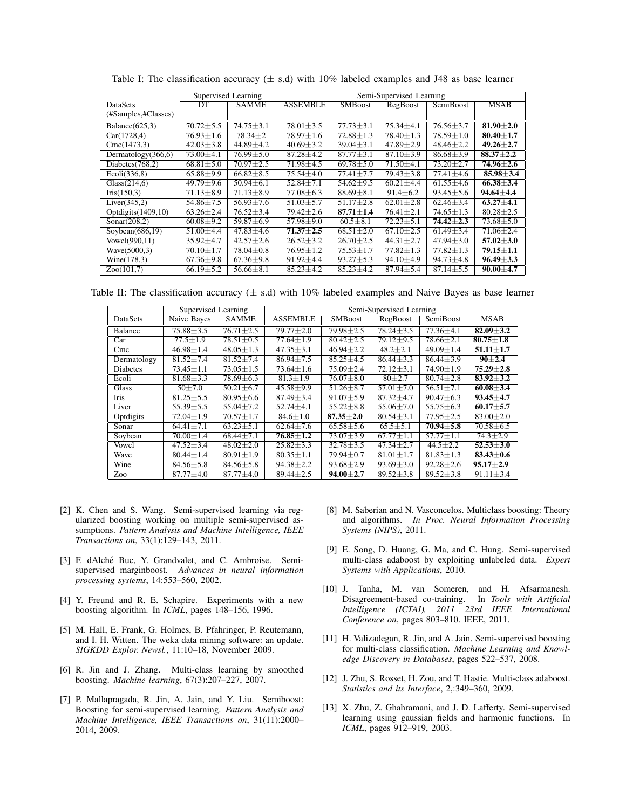|                       | Supervised Learning     |                 | Semi-Supervised Learning |                        |                        |                  |                 |  |
|-----------------------|-------------------------|-----------------|--------------------------|------------------------|------------------------|------------------|-----------------|--|
| <b>DataSets</b>       | <b>DT</b>               | <b>SAMME</b>    | <b>ASSEMBLE</b>          | <b>SMBoost</b>         | RegBoost               | <b>SemiBoost</b> | <b>MSAB</b>     |  |
| (#Samples,#Classes)   |                         |                 |                          |                        |                        |                  |                 |  |
| Balance $(625,3)$     | $70.72 \pm 5.5$         | $74.75 \pm 3.1$ | $78.01 \pm 3.5$          | $77.73 \pm 3.1$        | $75.34 \pm 4.1$        | $76.56 \pm 3.7$  | 81.90 $\pm 2.0$ |  |
| Car(1728, 4)          | $76.93 \pm 1.6$         | $78.34 \pm 2$   | $78.97 \pm 1.6$          | $72.88 \pm 1.3$        | $78.40 \pm 1.3$        | $78.59 \pm 1.0$  | $80.40 \pm 1.7$ |  |
| Cmc(1473,3)           | $42.03 \pm 3.8$         | 44.89±4.2       | $40.69 \pm 3.2$          | $39.04 \pm 3.1$        | $47.89 \pm 2.9$        | $48.46 \pm 2.2$  | $49.26 \pm 2.7$ |  |
| Dermatology $(366,6)$ | $\overline{73.00}$ ±4.1 | $76.99 \pm 5.0$ | $87.28 + 4.2$            | $87.77 \pm 3.1$        | $87.10 + 3.9$          | $86.68 \pm 3.9$  | $88.37 \pm 2.2$ |  |
| Diabetes $(768,2)$    | $68.81 \pm 5.0$         | $70.97 \pm 2.5$ | $\overline{7}1.98\pm4.5$ | $69.78 \pm 5.0$        | $71.50 \pm 4.1$        | $73.20 \pm 2.7$  | 74.96±2.6       |  |
| Ecoli(336,8)          | $65.88 \pm 9.9$         | $66.82 \pm 8.5$ | $75.54 \pm 4.0$          | $77.41 \pm 7.7$        | $79.43 \pm 3.8$        | $77.41 \pm 4.6$  | $85.98 \pm 3.4$ |  |
| Glass (214.6)         | 49.79±9.6               | $50.94 \pm 6.1$ | $52.84 \pm 7.1$          | $54.62 \pm 9.5$        | $60.21 \pm 4.4$        | $61.55 \pm 4.6$  | $66.38 \pm 3.4$ |  |
| Iris(150,3)           | $71.13 \pm 8.9$         | $71.13 \pm 8.9$ | $77.08 \pm 6.3$          | $88.69 \pm 8.1$        | $91.4 \pm 6.2$         | $93.45 \pm 5.6$  | $94.64 \pm 4.4$ |  |
| Liver(345,2)          | $54.86 \pm 7.5$         | $56.93 \pm 7.6$ | $51.03 \pm 5.7$          | $51.17 \pm 2.8$        | $62.01 \pm 2.8$        | $62.46 \pm 3.4$  | $63.27 \pm 4.1$ |  |
| Optdigits $(1409,10)$ | $63.26 \pm 2.4$         | $76.52 \pm 3.4$ | $79.42 \pm 2.6$          | $87.71 \pm 1.4$        | $76.41 \pm 2.1$        | $74.65 \pm 1.3$  | $80.28 \pm 2.5$ |  |
| Sonar $(208,2)$       | $60.08 \pm 9.2$         | $59.87\pm 6.9$  | $57.98 \pm 9.0$          | $60.5 \pm 8.1$         | $72.23 \pm 5.1$        | $74.42 \pm 2.3$  | $73.68 \pm 5.0$ |  |
| Soybean $(686, 19)$   | $51.00 \pm 4.4$         | $47.83 \pm 4.6$ | $71.37 \pm 2.5$          | $68.51 \pm 2.0$        | $67.10 \pm 2.5$        | $61.49 \pm 3.4$  | $71.06 \pm 2.4$ |  |
| Vowel(990.11)         | $35.92 \pm 4.7$         | $42.57 \pm 2.6$ | $26.52 + 3.2$            | $\sqrt{26.70 \pm 2.5}$ | $\sqrt{44.31 \pm 2.7}$ | $47.94 \pm 3.0$  | $57.02 + 3.0$   |  |
| Wave(5000.3)          | $70.10 \pm 1.7$         | $78.04 \pm 0.8$ | $76.95 \pm 1.2$          | $75.53 \pm 1.7$        | $77.82 \pm 1.3$        | $77.82 \pm 1.3$  | 79.15±1.1       |  |
| Wine(178,3)           | $\sqrt{67.36}$ ±9.8     | $67.36 \pm 9.8$ | $91.92 \pm 4.4$          | $93.27 \pm 5.3$        | $94.10 \pm 4.9$        | $94.73 \pm 4.8$  | $96.49 \pm 3.3$ |  |
| Zoo(101,7)            | $66.19 \pm 5.2$         | $56.66 \pm 8.1$ | $85.23 \pm 4.2$          | $85.23 \pm 4.2$        | $87.94 \pm 5.4$        | $87.14 \pm 5.5$  | $90.00 \pm 4.7$ |  |

Table I: The classification accuracy  $(\pm s.d)$  with 10% labeled examples and J48 as base learner

Table II: The classification accuracy  $(\pm s.d)$  with 10% labeled examples and Naive Bayes as base learner

|                 | Supervised Learning |                 | Semi-Supervised Learning |                 |                        |                            |                 |  |
|-----------------|---------------------|-----------------|--------------------------|-----------------|------------------------|----------------------------|-----------------|--|
| DataSets        | Naive Bayes         | <b>SAMME</b>    | <b>ASSEMBLE</b>          | <b>SMBoost</b>  | RegBoost               | <b>SemiBoost</b>           | <b>MSAB</b>     |  |
| Balance         | $75.88 \pm 3.5$     | $76.71 \pm 2.5$ | $79.77 \pm 2.0$          | $79.98 \pm 2.5$ | $78.24 \pm 3.5$        | $77.36 \pm 4.1$            | $82.09 \pm 3.2$ |  |
| Car             | $77.5 \pm 1.9$      | $78.51 \pm 0.5$ | $77.64 \pm 1.9$          | $80.42 \pm 2.5$ | $79.12 \pm 9.5$        | $78.66 \pm 2.1$            | $80.75 \pm 1.8$ |  |
| Cmc             | $46.98 \pm 1.4$     | $48.05 \pm 1.3$ | $47.35 \pm 3.1$          | $46.94 \pm 2.2$ | $48.2 \pm 2.1$         | $\sqrt{49.09} \pm 1.4$     | $51.11 \pm 1.7$ |  |
| Dermatology     | $81.52 \pm 7.4$     | $81.52 \pm 7.4$ | $86.94 + 7.5$            | $85.25 \pm 4.5$ | $86.44 + 3.3$          | $86.44 \pm 3.9$            | $90 + 2.4$      |  |
| <b>Diabetes</b> | $73.45 \pm 1.1$     | $73.05 \pm 1.5$ | $73.64 \pm 1.6$          | $75.09 \pm 2.4$ | $72.12 \pm 3.1$        | $74.90 \pm 1.9$            | $75.29 \pm 2.8$ |  |
| Ecoli           | $81.68 \pm 3.3$     | $78.69 \pm 6.3$ | $81.3 \pm 1.9$           | $76.07 \pm 8.0$ | $80 + 2.7$             | $80.74 \pm 2.8$            | $83.92 \pm 3.2$ |  |
| Glass           | $50 + 7.0$          | $50.21 \pm 6.7$ | $45.58 \pm 9.9$          | $51.26 \pm 8.7$ | $\sqrt{57.01} \pm 7.0$ | $56.51 \pm 7.1$            | $60.08 \pm 3.4$ |  |
| Iris            | $81.25 \pm 5.5$     | $80.95 \pm 6.6$ | $87.49 + 3.4$            | $91.07 + 5.9$   | $87.32 \pm 4.7$        | $90.47 \pm 6.3$            | $93.45 \pm 4.7$ |  |
| Liver           | $55.39 \pm 5.5$     | $55.04 \pm 7.2$ | $52.74 \pm 4.1$          | $55.22 \pm 8.8$ | $\sqrt{55.06 \pm 7.0}$ | $\overline{55.75 \pm 6.3}$ | $60.17 + 5.7$   |  |
| Optdigits       | $72.04 \pm 1.9$     | $70.57 \pm 1.7$ | $84.6 \pm 1.0$           | $87.35 \pm 2.0$ | $80.54 \pm 3.1$        | $77.95 \pm 2.5$            | $83.00 \pm 2.0$ |  |
| Sonar           | $64.41 \pm 7.1$     | $63.23 + 5.1$   | $62.64 \pm 7.6$          | $65.58 \pm 5.6$ | $65.5 \pm 5.1$         | $70.94 \pm 5.8$            | $70.58 \pm 6.5$ |  |
| Soybean         | $70.00 \pm 1.4$     | $68.44 \pm 7.1$ | $76.85 \pm 1.2$          | $73.07 \pm 3.9$ | $67.77 \pm 1.1$        | $57.77 \pm 1.1$            | $74.3 \pm 2.9$  |  |
| Vowel           | $47.52 \pm 3.4$     | $48.02 + 2.0$   | $25.82 + 3.3$            | $32.78 \pm 3.5$ | $47.34 + 2.7$          | $44.5 + 2.2$               | $52.53 \pm 3.0$ |  |
| Wave            | $80.44 \pm 1.4$     | $80.91 \pm 1.9$ | $80.35 \pm 1.1$          | 79.94±0.7       | $81.01 \pm 1.7$        | $81.83 \pm 1.3$            | $83.43 \pm 0.6$ |  |
| Wine            | $84.56 \pm 5.8$     | $84.56 \pm 5.8$ | $94.38 \pm 2.2$          | $93.68 \pm 2.9$ | $93.69 \pm 3.0$        | $92.28 \pm 2.6$            | $95.17 \pm 2.9$ |  |
| Zoo             | $87.77 \pm 4.0$     | $87.77 \pm 4.0$ | $89.44 \pm 2.5$          | $94.00 \pm 2.7$ | $89.52 \pm 3.8$        | $89.52 \pm 3.8$            | $91.11 \pm 3.4$ |  |

- [2] K. Chen and S. Wang. Semi-supervised learning via regularized boosting working on multiple semi-supervised assumptions. *Pattern Analysis and Machine Intelligence, IEEE Transactions on*, 33(1):129–143, 2011.
- [3] F. dAlché Buc, Y. Grandvalet, and C. Ambroise. Semisupervised marginboost. *Advances in neural information processing systems*, 14:553–560, 2002.
- [4] Y. Freund and R. E. Schapire. Experiments with a new boosting algorithm. In *ICML*, pages 148–156, 1996.
- [5] M. Hall, E. Frank, G. Holmes, B. Pfahringer, P. Reutemann, and I. H. Witten. The weka data mining software: an update. *SIGKDD Explor. Newsl.*, 11:10–18, November 2009.
- [6] R. Jin and J. Zhang. Multi-class learning by smoothed boosting. *Machine learning*, 67(3):207–227, 2007.
- [7] P. Mallapragada, R. Jin, A. Jain, and Y. Liu. Semiboost: Boosting for semi-supervised learning. *Pattern Analysis and Machine Intelligence, IEEE Transactions on*, 31(11):2000– 2014, 2009.
- [8] M. Saberian and N. Vasconcelos. Multiclass boosting: Theory and algorithms. *In Proc. Neural Information Processing Systems (NIPS)*, 2011.
- [9] E. Song, D. Huang, G. Ma, and C. Hung. Semi-supervised multi-class adaboost by exploiting unlabeled data. *Expert Systems with Applications*, 2010.
- [10] J. Tanha, M. van Someren, and H. Afsarmanesh. Disagreement-based co-training. In *Tools with Artificial Intelligence (ICTAI), 2011 23rd IEEE International Conference on*, pages 803–810. IEEE, 2011.
- [11] H. Valizadegan, R. Jin, and A. Jain. Semi-supervised boosting for multi-class classification. *Machine Learning and Knowledge Discovery in Databases*, pages 522–537, 2008.
- [12] J. Zhu, S. Rosset, H. Zou, and T. Hastie. Multi-class adaboost. *Statistics and its Interface*, 2,:349–360, 2009.
- [13] X. Zhu, Z. Ghahramani, and J. D. Lafferty. Semi-supervised learning using gaussian fields and harmonic functions. In *ICML*, pages 912–919, 2003.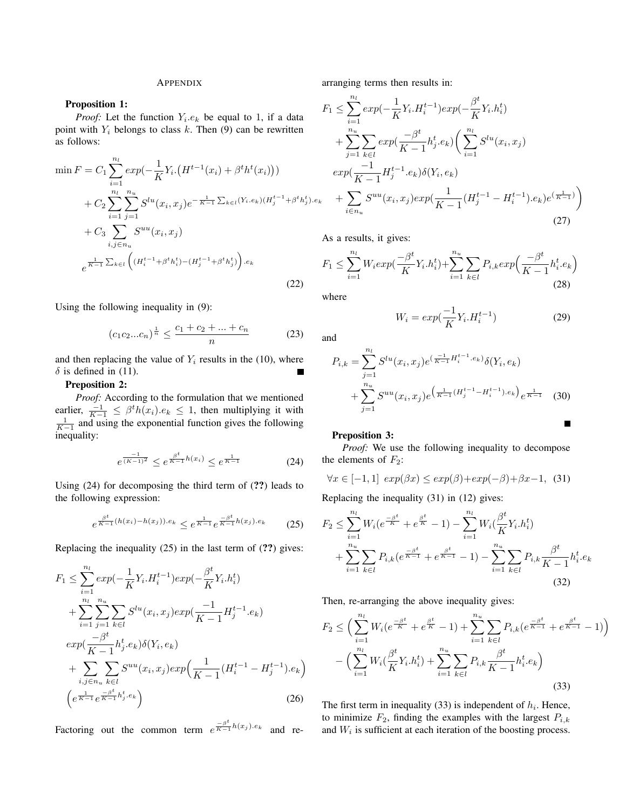### **APPENDIX**

#### Proposition 1:

*Proof:* Let the function  $Y_i.e_k$  be equal to 1, if a data point with  $Y_i$  belongs to class k. Then (9) can be rewritten as follows:

$$
\min F = C_1 \sum_{i=1}^{n_l} exp(-\frac{1}{K}Y_i \cdot (H^{t-1}(x_i) + \beta^t h^t(x_i)))
$$
  
+  $C_2 \sum_{i=1}^{n_l} \sum_{j=1}^{n_u} S^{lu}(x_i, x_j) e^{-\frac{1}{K-1} \sum_{k \in l} (Y_i \cdot e_k)(H_j^{t-1} + \beta^t h_j^t) \cdot e_k}$   
+  $C_3 \sum_{i,j \in n_u} S^{uu}(x_i, x_j)$   
 $e^{\frac{1}{K-1} \sum_{k \in l} \left( (H_i^{t-1} + \beta^t h_i^t) - (H_j^{t-1} + \beta^t h_j^t) \right) \cdot e_k}$  (22)

Using the following inequality in (9):

$$
(c_1c_2...c_n)^{\frac{1}{n}} \le \frac{c_1+c_2+...+c_n}{n} \tag{23}
$$

and then replacing the value of  $Y_i$  results in the (10), where  $\delta$  is defined in (11).

#### Preposition 2:

*Proof:* According to the formulation that we mentioned earlier,  $\frac{-1}{K-1} \leq \beta^t h(x_i) . e_k \leq 1$ , then multiplying it with  $\frac{1}{K-1}$  and using the exponential function gives the following inequality:

$$
e^{\frac{-1}{(K-1)^2}} \le e^{\frac{\beta^t}{K-1}h(x_i)} \le e^{\frac{1}{K-1}}
$$
 (24)

Using (24) for decomposing the third term of (??) leads to the following expression:

$$
e^{\frac{\beta^t}{K-1}(h(x_i)-h(x_j))\cdot e_k} \le e^{\frac{1}{K-1}}e^{\frac{-\beta^t}{K-1}h(x_j)\cdot e_k} \qquad (25)
$$

Replacing the inequality (25) in the last term of (??) gives:

$$
F_1 \leq \sum_{i=1}^{n_l} exp(-\frac{1}{K}Y_i.H_i^{t-1}) exp(-\frac{\beta^t}{K}Y_i.h_i^t)
$$
  
+ 
$$
\sum_{i=1}^{n_l} \sum_{j=1}^{n_u} \sum_{k \in l} S^{lu}(x_i, x_j) exp(\frac{-1}{K-1}H_j^{t-1}.e_k)
$$
  

$$
exp(\frac{-\beta^t}{K-1}h_j^t.e_k) \delta(Y_i, e_k)
$$
  
+ 
$$
\sum_{i,j \in n_u} \sum_{k \in l} S^{uu}(x_i, x_j) exp(\frac{1}{K-1}(H_i^{t-1} - H_j^{t-1}).e_k)
$$
  

$$
\left(e^{\frac{1}{K-1}} e^{\frac{-\beta^t}{K-1}h_j^t.e_k}\right)
$$
 (26)

Factoring out the common term  $e^{\frac{-\beta^t}{K-1}h(x_j).e_k}$  and re-

arranging terms then results in:

$$
F_1 \leq \sum_{i=1}^{n_l} exp(-\frac{1}{K}Y_i \cdot H_i^{t-1}) exp(-\frac{\beta^t}{K}Y_i \cdot h_i^t)
$$
  
+ 
$$
\sum_{j=1}^{n_u} \sum_{k \in l} exp(\frac{-\beta^t}{K-1} h_j^t \cdot e_k) \left(\sum_{i=1}^{n_l} S^{lu}(x_i, x_j) \right)
$$
  

$$
exp(\frac{-1}{K-1} H_j^{t-1} \cdot e_k) \delta(Y_i, e_k)
$$
  
+ 
$$
\sum_{i \in n_u} S^{uu}(x_i, x_j) exp(\frac{1}{K-1} (H_j^{t-1} - H_i^{t-1}) \cdot e_k) e^{(\frac{1}{K-1})}
$$
  
(27)

As a results, it gives:

$$
F_1 \le \sum_{i=1}^{n_l} W_i exp(\frac{-\beta^t}{K} Y_i h_i^t) + \sum_{i=1}^{n_u} \sum_{k \in l} P_{i,k} exp\left(\frac{-\beta^t}{K-1} h_i^t \cdot e_k\right)
$$
(28)

where

$$
W_i = exp(\frac{-1}{K}Y_i . H_i^{t-1})
$$
\n(29)

and

$$
P_{i,k} = \sum_{j=1}^{n_l} S^{lu}(x_i, x_j) e^{(\frac{-1}{K-1} H_i^{t-1} \cdot e_k)} \delta(Y_i, e_k)
$$
  
+ 
$$
\sum_{j=1}^{n_u} S^{uu}(x_i, x_j) e^{(\frac{1}{K-1} (H_j^{t-1} - H_i^{t-1}) \cdot e_k)} e^{\frac{1}{K-1}}
$$
(30)

#### Preposition 3:

*Proof:* We use the following inequality to decompose the elements of  $F_2$ :

$$
\forall x \in [-1, 1] \ exp(\beta x) \le \exp(\beta) + \exp(-\beta) + \beta x - 1, \tag{31}
$$

Replacing the inequality (31) in (12) gives:

$$
F_2 \leq \sum_{i=1}^{n_l} W_i (e^{\frac{-\beta^t}{K}} + e^{\frac{\beta^t}{K}} - 1) - \sum_{i=1}^{n_l} W_i (\frac{\beta^t}{K} Y_i h_i^t) + \sum_{i=1}^{n_u} \sum_{k \in l} P_{i,k} (e^{\frac{-\beta^t}{K-1}} + e^{\frac{\beta^t}{K-1}} - 1) - \sum_{i=1}^{n_u} \sum_{k \in l} P_{i,k} \frac{\beta^t}{K-1} h_i^t . e_k
$$
\n(32)

Then, re-arranging the above inequality gives:

$$
F_2 \leq \left(\sum_{i=1}^{n_l} W_i (e^{\frac{-\beta^t}{K}} + e^{\frac{\beta^t}{K}} - 1) + \sum_{i=1}^{n_u} \sum_{k \in l} P_{i,k} (e^{\frac{-\beta^t}{K-1}} + e^{\frac{\beta^t}{K-1}} - 1)\right) - \left(\sum_{i=1}^{n_l} W_i (\frac{\beta^t}{K} Y_i h_i^t) + \sum_{i=1}^{n_u} \sum_{k \in l} P_{i,k} \frac{\beta^t}{K-1} h_i^t . e_k\right)
$$
\n(33)

The first term in inequality (33) is independent of  $h_i$ . Hence, to minimize  $F_2$ , finding the examples with the largest  $P_{i,k}$ and  $W_i$  is sufficient at each iteration of the boosting process.